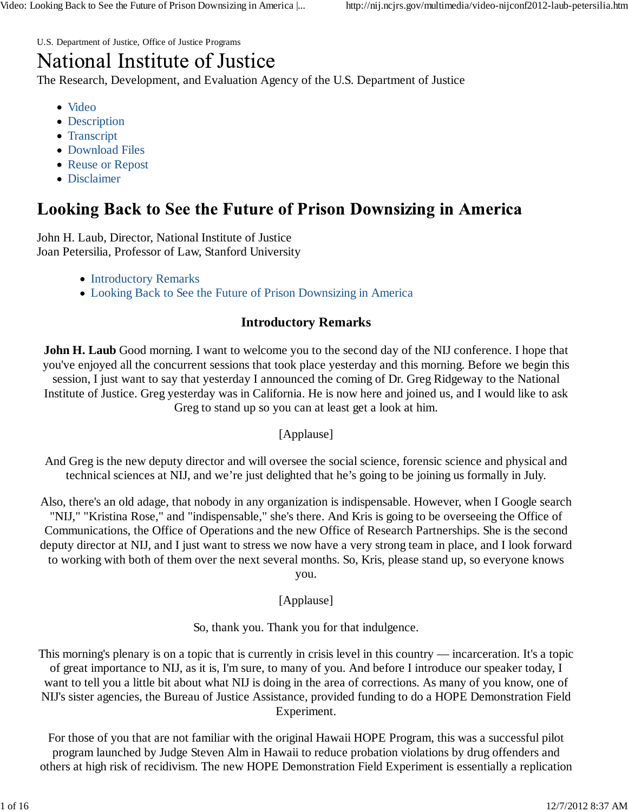U.S. Department of Justice, Office of Justice Programs

# National Institute of Justice

The Research, Development, and Evaluation Agency of the U.S. Department of Justice

- Video
- Description
- Transcript
- Download Files
- Reuse or Repost
- Disclaimer

## **Looking Back to See the Future of Prison Downsizing in America**

John H. Laub, Director, National Institute of Justice Joan Petersilia, Professor of Law, Stanford University

- Introductory Remarks
- Looking Back to See the Future of Prison Downsizing in America

### **Introductory Remarks**

**John H. Laub** Good morning. I want to welcome you to the second day of the NIJ conference. I hope that you've enjoyed all the concurrent sessions that took place yesterday and this morning. Before we begin this session, I just want to say that yesterday I announced the coming of Dr. Greg Ridgeway to the National Institute of Justice. Greg yesterday was in California. He is now here and joined us, and I would like to ask Greg to stand up so you can at least get a look at him.

[Applause]

And Greg is the new deputy director and will oversee the social science, forensic science and physical and technical sciences at NIJ, and we're just delighted that he's going to be joining us formally in July.

Also, there's an old adage, that nobody in any organization is indispensable. However, when I Google search "NIJ," "Kristina Rose," and "indispensable," she's there. And Kris is going to be overseeing the Office of Communications, the Office of Operations and the new Office of Research Partnerships. She is the second deputy director at NIJ, and I just want to stress we now have a very strong team in place, and I look forward to working with both of them over the next several months. So, Kris, please stand up, so everyone knows you.

[Applause]

So, thank you. Thank you for that indulgence.

This morning's plenary is on a topic that is currently in crisis level in this country — incarceration. It's a topic of great importance to NIJ, as it is, I'm sure, to many of you. And before I introduce our speaker today, I want to tell you a little bit about what NIJ is doing in the area of corrections. As many of you know, one of NIJ's sister agencies, the Bureau of Justice Assistance, provided funding to do a HOPE Demonstration Field Experiment.

For those of you that are not familiar with the original Hawaii HOPE Program, this was a successful pilot program launched by Judge Steven Alm in Hawaii to reduce probation violations by drug offenders and others at high risk of recidivism. The new HOPE Demonstration Field Experiment is essentially a replication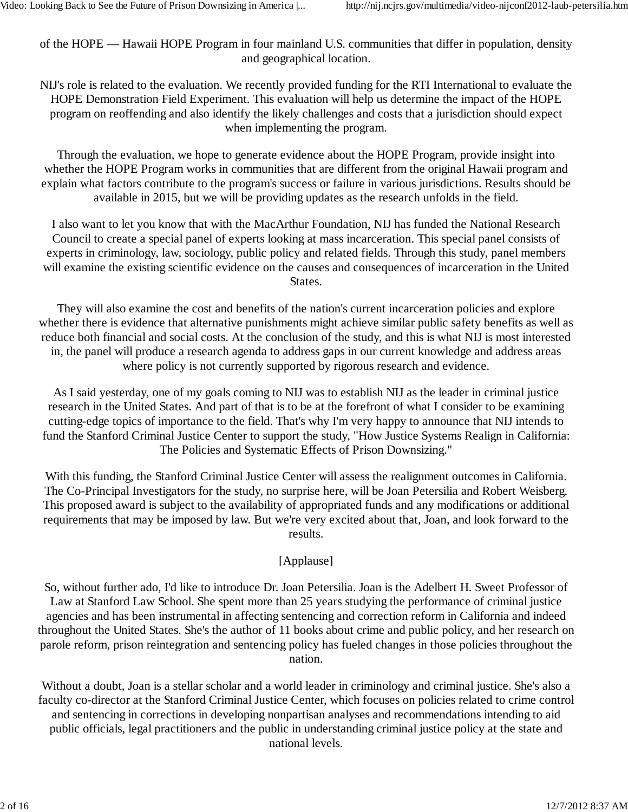of the HOPE — Hawaii HOPE Program in four mainland U.S. communities that differ in population, density and geographical location.

NIJ's role is related to the evaluation. We recently provided funding for the RTI International to evaluate the HOPE Demonstration Field Experiment. This evaluation will help us determine the impact of the HOPE program on reoffending and also identify the likely challenges and costs that a jurisdiction should expect when implementing the program.

Through the evaluation, we hope to generate evidence about the HOPE Program, provide insight into whether the HOPE Program works in communities that are different from the original Hawaii program and explain what factors contribute to the program's success or failure in various jurisdictions. Results should be available in 2015, but we will be providing updates as the research unfolds in the field.

I also want to let you know that with the MacArthur Foundation, NIJ has funded the National Research Council to create a special panel of experts looking at mass incarceration. This special panel consists of experts in criminology, law, sociology, public policy and related fields. Through this study, panel members will examine the existing scientific evidence on the causes and consequences of incarceration in the United States.

They will also examine the cost and benefits of the nation's current incarceration policies and explore whether there is evidence that alternative punishments might achieve similar public safety benefits as well as reduce both financial and social costs. At the conclusion of the study, and this is what NIJ is most interested in, the panel will produce a research agenda to address gaps in our current knowledge and address areas where policy is not currently supported by rigorous research and evidence.

As I said yesterday, one of my goals coming to NIJ was to establish NIJ as the leader in criminal justice research in the United States. And part of that is to be at the forefront of what I consider to be examining cutting-edge topics of importance to the field. That's why I'm very happy to announce that NIJ intends to fund the Stanford Criminal Justice Center to support the study, "How Justice Systems Realign in California: The Policies and Systematic Effects of Prison Downsizing."

With this funding, the Stanford Criminal Justice Center will assess the realignment outcomes in California. The Co-Principal Investigators for the study, no surprise here, will be Joan Petersilia and Robert Weisberg. This proposed award is subject to the availability of appropriated funds and any modifications or additional requirements that may be imposed by law. But we're very excited about that, Joan, and look forward to the results.

#### [Applause]

So, without further ado, I'd like to introduce Dr. Joan Petersilia. Joan is the Adelbert H. Sweet Professor of Law at Stanford Law School. She spent more than 25 years studying the performance of criminal justice agencies and has been instrumental in affecting sentencing and correction reform in California and indeed throughout the United States. She's the author of 11 books about crime and public policy, and her research on parole reform, prison reintegration and sentencing policy has fueled changes in those policies throughout the nation.

Without a doubt, Joan is a stellar scholar and a world leader in criminology and criminal justice. She's also a faculty co-director at the Stanford Criminal Justice Center, which focuses on policies related to crime control and sentencing in corrections in developing nonpartisan analyses and recommendations intending to aid public officials, legal practitioners and the public in understanding criminal justice policy at the state and national levels.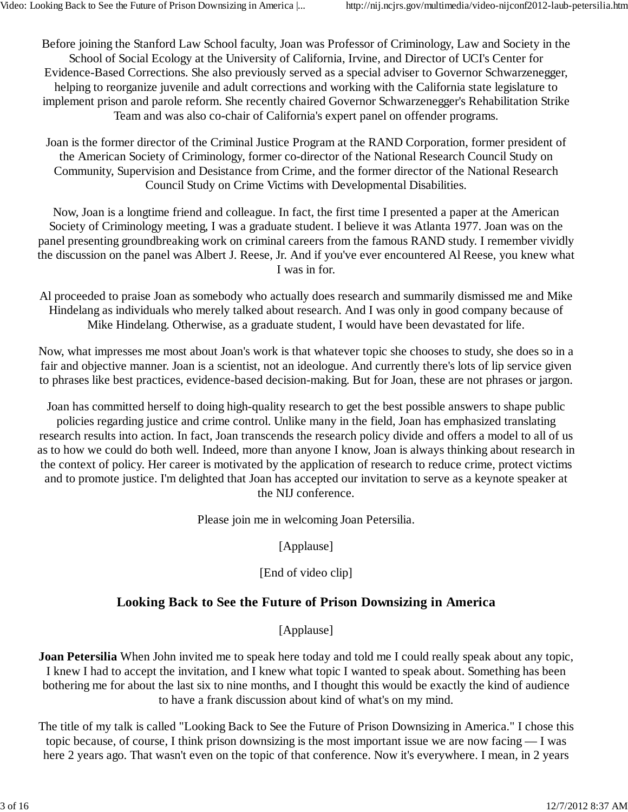Before joining the Stanford Law School faculty, Joan was Professor of Criminology, Law and Society in the School of Social Ecology at the University of California, Irvine, and Director of UCI's Center for Evidence-Based Corrections. She also previously served as a special adviser to Governor Schwarzenegger, helping to reorganize juvenile and adult corrections and working with the California state legislature to implement prison and parole reform. She recently chaired Governor Schwarzenegger's Rehabilitation Strike Team and was also co-chair of California's expert panel on offender programs.

Joan is the former director of the Criminal Justice Program at the RAND Corporation, former president of the American Society of Criminology, former co-director of the National Research Council Study on Community, Supervision and Desistance from Crime, and the former director of the National Research Council Study on Crime Victims with Developmental Disabilities.

Now, Joan is a longtime friend and colleague. In fact, the first time I presented a paper at the American Society of Criminology meeting, I was a graduate student. I believe it was Atlanta 1977. Joan was on the panel presenting groundbreaking work on criminal careers from the famous RAND study. I remember vividly the discussion on the panel was Albert J. Reese, Jr. And if you've ever encountered Al Reese, you knew what I was in for.

Al proceeded to praise Joan as somebody who actually does research and summarily dismissed me and Mike Hindelang as individuals who merely talked about research. And I was only in good company because of Mike Hindelang. Otherwise, as a graduate student, I would have been devastated for life.

Now, what impresses me most about Joan's work is that whatever topic she chooses to study, she does so in a fair and objective manner. Joan is a scientist, not an ideologue. And currently there's lots of lip service given to phrases like best practices, evidence-based decision-making. But for Joan, these are not phrases or jargon.

Joan has committed herself to doing high-quality research to get the best possible answers to shape public policies regarding justice and crime control. Unlike many in the field, Joan has emphasized translating research results into action. In fact, Joan transcends the research policy divide and offers a model to all of us as to how we could do both well. Indeed, more than anyone I know, Joan is always thinking about research in the context of policy. Her career is motivated by the application of research to reduce crime, protect victims and to promote justice. I'm delighted that Joan has accepted our invitation to serve as a keynote speaker at the NIJ conference.

Please join me in welcoming Joan Petersilia.

[Applause]

[End of video clip]

## **Looking Back to See the Future of Prison Downsizing in America**

[Applause]

**Joan Petersilia** When John invited me to speak here today and told me I could really speak about any topic, I knew I had to accept the invitation, and I knew what topic I wanted to speak about. Something has been bothering me for about the last six to nine months, and I thought this would be exactly the kind of audience to have a frank discussion about kind of what's on my mind.

The title of my talk is called "Looking Back to See the Future of Prison Downsizing in America." I chose this topic because, of course, I think prison downsizing is the most important issue we are now facing — I was here 2 years ago. That wasn't even on the topic of that conference. Now it's everywhere. I mean, in 2 years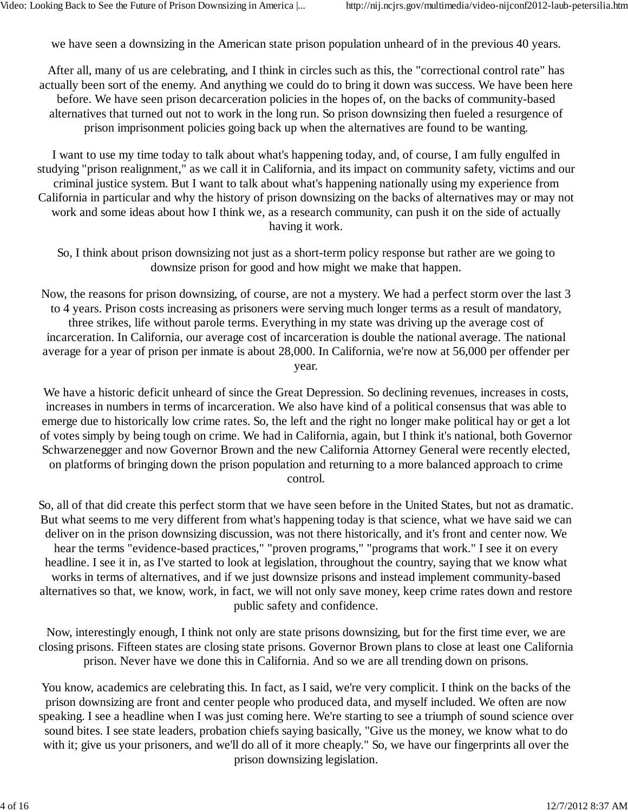we have seen a downsizing in the American state prison population unheard of in the previous 40 years.

After all, many of us are celebrating, and I think in circles such as this, the "correctional control rate" has actually been sort of the enemy. And anything we could do to bring it down was success. We have been here before. We have seen prison decarceration policies in the hopes of, on the backs of community-based alternatives that turned out not to work in the long run. So prison downsizing then fueled a resurgence of prison imprisonment policies going back up when the alternatives are found to be wanting.

I want to use my time today to talk about what's happening today, and, of course, I am fully engulfed in studying "prison realignment," as we call it in California, and its impact on community safety, victims and our criminal justice system. But I want to talk about what's happening nationally using my experience from California in particular and why the history of prison downsizing on the backs of alternatives may or may not work and some ideas about how I think we, as a research community, can push it on the side of actually having it work.

So, I think about prison downsizing not just as a short-term policy response but rather are we going to downsize prison for good and how might we make that happen.

Now, the reasons for prison downsizing, of course, are not a mystery. We had a perfect storm over the last 3 to 4 years. Prison costs increasing as prisoners were serving much longer terms as a result of mandatory, three strikes, life without parole terms. Everything in my state was driving up the average cost of incarceration. In California, our average cost of incarceration is double the national average. The national average for a year of prison per inmate is about 28,000. In California, we're now at 56,000 per offender per year.

We have a historic deficit unheard of since the Great Depression. So declining revenues, increases in costs, increases in numbers in terms of incarceration. We also have kind of a political consensus that was able to emerge due to historically low crime rates. So, the left and the right no longer make political hay or get a lot of votes simply by being tough on crime. We had in California, again, but I think it's national, both Governor Schwarzenegger and now Governor Brown and the new California Attorney General were recently elected, on platforms of bringing down the prison population and returning to a more balanced approach to crime control.

So, all of that did create this perfect storm that we have seen before in the United States, but not as dramatic. But what seems to me very different from what's happening today is that science, what we have said we can deliver on in the prison downsizing discussion, was not there historically, and it's front and center now. We hear the terms "evidence-based practices," "proven programs," "programs that work." I see it on every headline. I see it in, as I've started to look at legislation, throughout the country, saying that we know what works in terms of alternatives, and if we just downsize prisons and instead implement community-based alternatives so that, we know, work, in fact, we will not only save money, keep crime rates down and restore public safety and confidence.

Now, interestingly enough, I think not only are state prisons downsizing, but for the first time ever, we are closing prisons. Fifteen states are closing state prisons. Governor Brown plans to close at least one California prison. Never have we done this in California. And so we are all trending down on prisons.

You know, academics are celebrating this. In fact, as I said, we're very complicit. I think on the backs of the prison downsizing are front and center people who produced data, and myself included. We often are now speaking. I see a headline when I was just coming here. We're starting to see a triumph of sound science over sound bites. I see state leaders, probation chiefs saying basically, "Give us the money, we know what to do with it; give us your prisoners, and we'll do all of it more cheaply." So, we have our fingerprints all over the prison downsizing legislation.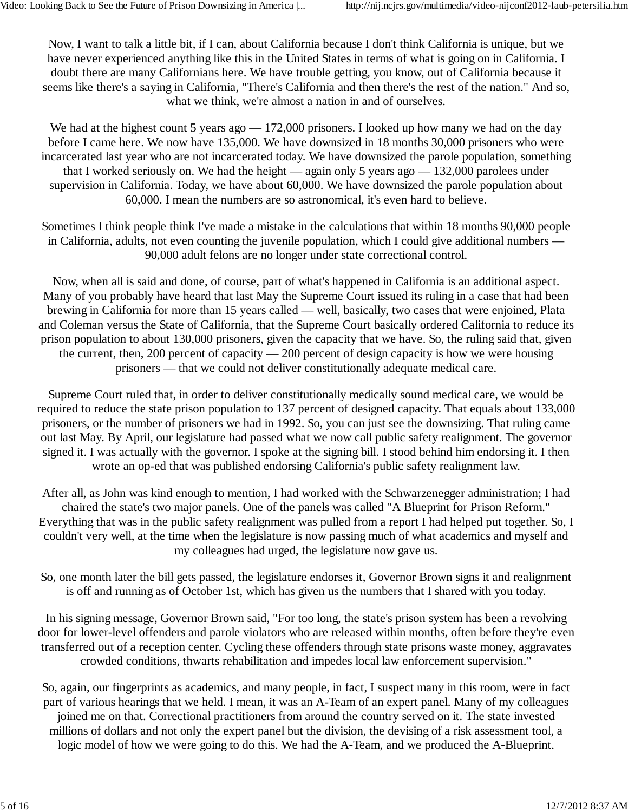Now, I want to talk a little bit, if I can, about California because I don't think California is unique, but we have never experienced anything like this in the United States in terms of what is going on in California. I doubt there are many Californians here. We have trouble getting, you know, out of California because it seems like there's a saying in California, "There's California and then there's the rest of the nation." And so, what we think, we're almost a nation in and of ourselves.

We had at the highest count 5 years ago — 172,000 prisoners. I looked up how many we had on the day before I came here. We now have 135,000. We have downsized in 18 months 30,000 prisoners who were incarcerated last year who are not incarcerated today. We have downsized the parole population, something that I worked seriously on. We had the height — again only 5 years ago — 132,000 parolees under supervision in California. Today, we have about 60,000. We have downsized the parole population about 60,000. I mean the numbers are so astronomical, it's even hard to believe.

Sometimes I think people think I've made a mistake in the calculations that within 18 months 90,000 people in California, adults, not even counting the juvenile population, which I could give additional numbers — 90,000 adult felons are no longer under state correctional control.

Now, when all is said and done, of course, part of what's happened in California is an additional aspect. Many of you probably have heard that last May the Supreme Court issued its ruling in a case that had been brewing in California for more than 15 years called — well, basically, two cases that were enjoined, Plata and Coleman versus the State of California, that the Supreme Court basically ordered California to reduce its prison population to about 130,000 prisoners, given the capacity that we have. So, the ruling said that, given the current, then, 200 percent of capacity — 200 percent of design capacity is how we were housing prisoners — that we could not deliver constitutionally adequate medical care.

Supreme Court ruled that, in order to deliver constitutionally medically sound medical care, we would be required to reduce the state prison population to 137 percent of designed capacity. That equals about 133,000 prisoners, or the number of prisoners we had in 1992. So, you can just see the downsizing. That ruling came out last May. By April, our legislature had passed what we now call public safety realignment. The governor signed it. I was actually with the governor. I spoke at the signing bill. I stood behind him endorsing it. I then wrote an op-ed that was published endorsing California's public safety realignment law.

After all, as John was kind enough to mention, I had worked with the Schwarzenegger administration; I had chaired the state's two major panels. One of the panels was called "A Blueprint for Prison Reform." Everything that was in the public safety realignment was pulled from a report I had helped put together. So, I couldn't very well, at the time when the legislature is now passing much of what academics and myself and my colleagues had urged, the legislature now gave us.

So, one month later the bill gets passed, the legislature endorses it, Governor Brown signs it and realignment is off and running as of October 1st, which has given us the numbers that I shared with you today.

In his signing message, Governor Brown said, "For too long, the state's prison system has been a revolving door for lower-level offenders and parole violators who are released within months, often before they're even transferred out of a reception center. Cycling these offenders through state prisons waste money, aggravates crowded conditions, thwarts rehabilitation and impedes local law enforcement supervision."

So, again, our fingerprints as academics, and many people, in fact, I suspect many in this room, were in fact part of various hearings that we held. I mean, it was an A-Team of an expert panel. Many of my colleagues joined me on that. Correctional practitioners from around the country served on it. The state invested millions of dollars and not only the expert panel but the division, the devising of a risk assessment tool, a logic model of how we were going to do this. We had the A-Team, and we produced the A-Blueprint.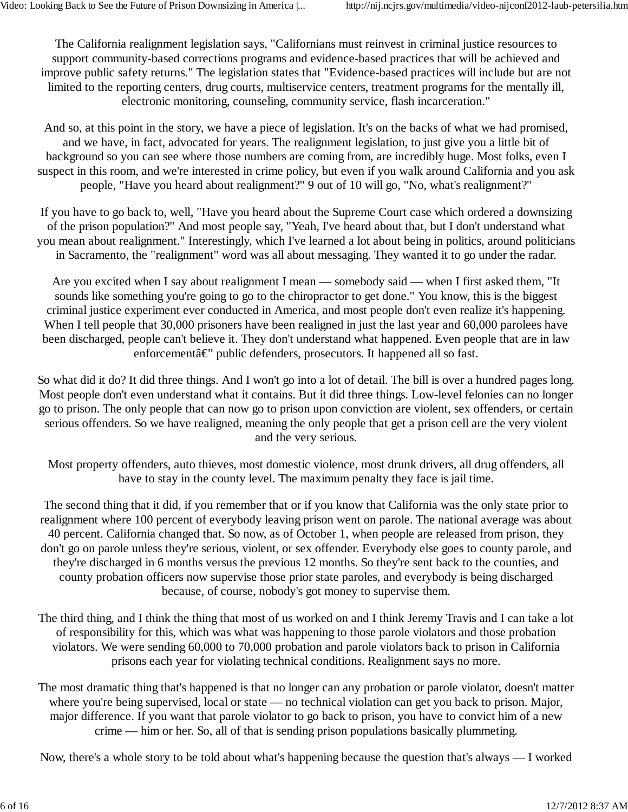The California realignment legislation says, "Californians must reinvest in criminal justice resources to support community-based corrections programs and evidence-based practices that will be achieved and improve public safety returns." The legislation states that "Evidence-based practices will include but are not limited to the reporting centers, drug courts, multiservice centers, treatment programs for the mentally ill, electronic monitoring, counseling, community service, flash incarceration."

And so, at this point in the story, we have a piece of legislation. It's on the backs of what we had promised, and we have, in fact, advocated for years. The realignment legislation, to just give you a little bit of background so you can see where those numbers are coming from, are incredibly huge. Most folks, even I suspect in this room, and we're interested in crime policy, but even if you walk around California and you ask people, "Have you heard about realignment?" 9 out of 10 will go, "No, what's realignment?"

If you have to go back to, well, "Have you heard about the Supreme Court case which ordered a downsizing of the prison population?" And most people say, "Yeah, I've heard about that, but I don't understand what you mean about realignment." Interestingly, which I've learned a lot about being in politics, around politicians in Sacramento, the "realignment" word was all about messaging. They wanted it to go under the radar.

Are you excited when I say about realignment I mean — somebody said — when I first asked them, "It sounds like something you're going to go to the chiropractor to get done." You know, this is the biggest criminal justice experiment ever conducted in America, and most people don't even realize it's happening. When I tell people that 30,000 prisoners have been realigned in just the last year and 60,000 parolees have been discharged, people can't believe it. They don't understand what happened. Even people that are in law enforcement $\hat{a} \in \mathcal{C}$  public defenders, prosecutors. It happened all so fast.

So what did it do? It did three things. And I won't go into a lot of detail. The bill is over a hundred pages long. Most people don't even understand what it contains. But it did three things. Low-level felonies can no longer go to prison. The only people that can now go to prison upon conviction are violent, sex offenders, or certain serious offenders. So we have realigned, meaning the only people that get a prison cell are the very violent and the very serious.

Most property offenders, auto thieves, most domestic violence, most drunk drivers, all drug offenders, all have to stay in the county level. The maximum penalty they face is jail time.

The second thing that it did, if you remember that or if you know that California was the only state prior to realignment where 100 percent of everybody leaving prison went on parole. The national average was about 40 percent. California changed that. So now, as of October 1, when people are released from prison, they don't go on parole unless they're serious, violent, or sex offender. Everybody else goes to county parole, and they're discharged in 6 months versus the previous 12 months. So they're sent back to the counties, and county probation officers now supervise those prior state paroles, and everybody is being discharged because, of course, nobody's got money to supervise them.

The third thing, and I think the thing that most of us worked on and I think Jeremy Travis and I can take a lot of responsibility for this, which was what was happening to those parole violators and those probation violators. We were sending 60,000 to 70,000 probation and parole violators back to prison in California prisons each year for violating technical conditions. Realignment says no more.

The most dramatic thing that's happened is that no longer can any probation or parole violator, doesn't matter where you're being supervised, local or state — no technical violation can get you back to prison. Major, major difference. If you want that parole violator to go back to prison, you have to convict him of a new crime — him or her. So, all of that is sending prison populations basically plummeting.

Now, there's a whole story to be told about what's happening because the question that's always — I worked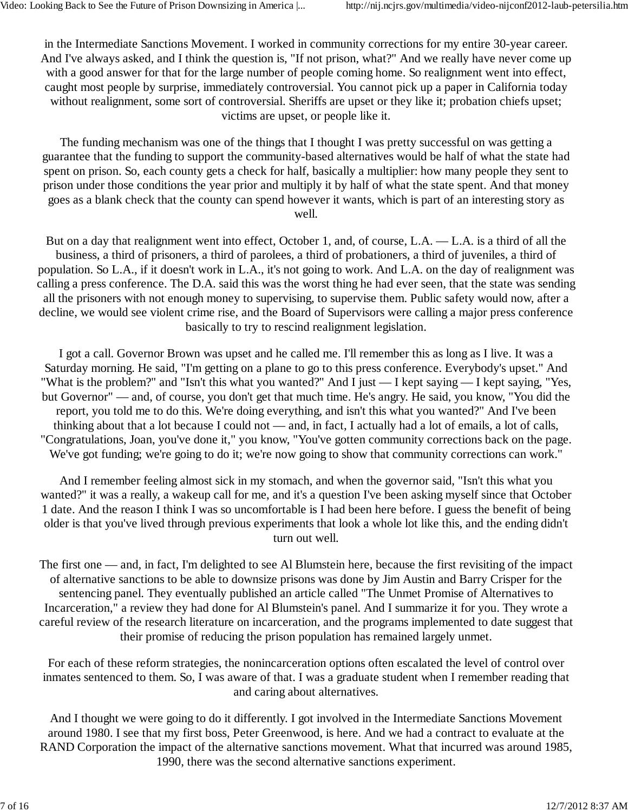in the Intermediate Sanctions Movement. I worked in community corrections for my entire 30-year career. And I've always asked, and I think the question is, "If not prison, what?" And we really have never come up with a good answer for that for the large number of people coming home. So realignment went into effect, caught most people by surprise, immediately controversial. You cannot pick up a paper in California today without realignment, some sort of controversial. Sheriffs are upset or they like it; probation chiefs upset; victims are upset, or people like it.

The funding mechanism was one of the things that I thought I was pretty successful on was getting a guarantee that the funding to support the community-based alternatives would be half of what the state had spent on prison. So, each county gets a check for half, basically a multiplier: how many people they sent to prison under those conditions the year prior and multiply it by half of what the state spent. And that money goes as a blank check that the county can spend however it wants, which is part of an interesting story as well.

But on a day that realignment went into effect, October 1, and, of course, L.A. — L.A. is a third of all the business, a third of prisoners, a third of parolees, a third of probationers, a third of juveniles, a third of population. So L.A., if it doesn't work in L.A., it's not going to work. And L.A. on the day of realignment was calling a press conference. The D.A. said this was the worst thing he had ever seen, that the state was sending all the prisoners with not enough money to supervising, to supervise them. Public safety would now, after a decline, we would see violent crime rise, and the Board of Supervisors were calling a major press conference basically to try to rescind realignment legislation.

I got a call. Governor Brown was upset and he called me. I'll remember this as long as I live. It was a Saturday morning. He said, "I'm getting on a plane to go to this press conference. Everybody's upset." And "What is the problem?" and "Isn't this what you wanted?" And I just — I kept saying — I kept saying, "Yes, but Governor" — and, of course, you don't get that much time. He's angry. He said, you know, "You did the report, you told me to do this. We're doing everything, and isn't this what you wanted?" And I've been thinking about that a lot because I could not — and, in fact, I actually had a lot of emails, a lot of calls, "Congratulations, Joan, you've done it," you know, "You've gotten community corrections back on the page. We've got funding; we're going to do it; we're now going to show that community corrections can work."

And I remember feeling almost sick in my stomach, and when the governor said, "Isn't this what you wanted?" it was a really, a wakeup call for me, and it's a question I've been asking myself since that October 1 date. And the reason I think I was so uncomfortable is I had been here before. I guess the benefit of being older is that you've lived through previous experiments that look a whole lot like this, and the ending didn't turn out well.

The first one — and, in fact, I'm delighted to see Al Blumstein here, because the first revisiting of the impact of alternative sanctions to be able to downsize prisons was done by Jim Austin and Barry Crisper for the sentencing panel. They eventually published an article called "The Unmet Promise of Alternatives to Incarceration," a review they had done for Al Blumstein's panel. And I summarize it for you. They wrote a careful review of the research literature on incarceration, and the programs implemented to date suggest that their promise of reducing the prison population has remained largely unmet.

For each of these reform strategies, the nonincarceration options often escalated the level of control over inmates sentenced to them. So, I was aware of that. I was a graduate student when I remember reading that and caring about alternatives.

And I thought we were going to do it differently. I got involved in the Intermediate Sanctions Movement around 1980. I see that my first boss, Peter Greenwood, is here. And we had a contract to evaluate at the RAND Corporation the impact of the alternative sanctions movement. What that incurred was around 1985, 1990, there was the second alternative sanctions experiment.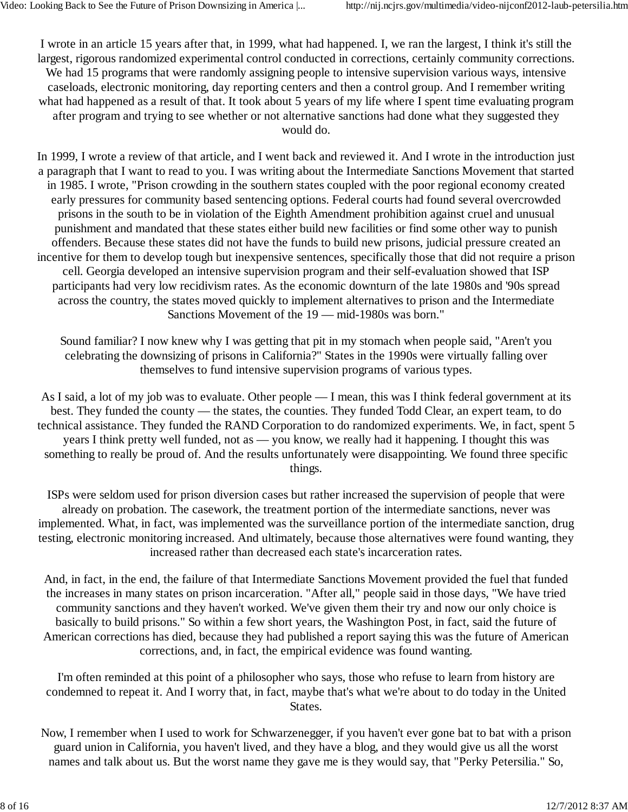I wrote in an article 15 years after that, in 1999, what had happened. I, we ran the largest, I think it's still the largest, rigorous randomized experimental control conducted in corrections, certainly community corrections. We had 15 programs that were randomly assigning people to intensive supervision various ways, intensive caseloads, electronic monitoring, day reporting centers and then a control group. And I remember writing what had happened as a result of that. It took about 5 years of my life where I spent time evaluating program after program and trying to see whether or not alternative sanctions had done what they suggested they would do.

In 1999, I wrote a review of that article, and I went back and reviewed it. And I wrote in the introduction just a paragraph that I want to read to you. I was writing about the Intermediate Sanctions Movement that started in 1985. I wrote, "Prison crowding in the southern states coupled with the poor regional economy created early pressures for community based sentencing options. Federal courts had found several overcrowded prisons in the south to be in violation of the Eighth Amendment prohibition against cruel and unusual punishment and mandated that these states either build new facilities or find some other way to punish offenders. Because these states did not have the funds to build new prisons, judicial pressure created an incentive for them to develop tough but inexpensive sentences, specifically those that did not require a prison cell. Georgia developed an intensive supervision program and their self-evaluation showed that ISP participants had very low recidivism rates. As the economic downturn of the late 1980s and '90s spread across the country, the states moved quickly to implement alternatives to prison and the Intermediate Sanctions Movement of the 19 — mid-1980s was born."

Sound familiar? I now knew why I was getting that pit in my stomach when people said, "Aren't you celebrating the downsizing of prisons in California?" States in the 1990s were virtually falling over themselves to fund intensive supervision programs of various types.

As I said, a lot of my job was to evaluate. Other people — I mean, this was I think federal government at its best. They funded the county — the states, the counties. They funded Todd Clear, an expert team, to do technical assistance. They funded the RAND Corporation to do randomized experiments. We, in fact, spent 5 years I think pretty well funded, not as — you know, we really had it happening. I thought this was something to really be proud of. And the results unfortunately were disappointing. We found three specific things.

ISPs were seldom used for prison diversion cases but rather increased the supervision of people that were already on probation. The casework, the treatment portion of the intermediate sanctions, never was implemented. What, in fact, was implemented was the surveillance portion of the intermediate sanction, drug testing, electronic monitoring increased. And ultimately, because those alternatives were found wanting, they increased rather than decreased each state's incarceration rates.

And, in fact, in the end, the failure of that Intermediate Sanctions Movement provided the fuel that funded the increases in many states on prison incarceration. "After all," people said in those days, "We have tried community sanctions and they haven't worked. We've given them their try and now our only choice is basically to build prisons." So within a few short years, the Washington Post, in fact, said the future of American corrections has died, because they had published a report saying this was the future of American corrections, and, in fact, the empirical evidence was found wanting.

I'm often reminded at this point of a philosopher who says, those who refuse to learn from history are condemned to repeat it. And I worry that, in fact, maybe that's what we're about to do today in the United States.

Now, I remember when I used to work for Schwarzenegger, if you haven't ever gone bat to bat with a prison guard union in California, you haven't lived, and they have a blog, and they would give us all the worst names and talk about us. But the worst name they gave me is they would say, that "Perky Petersilia." So,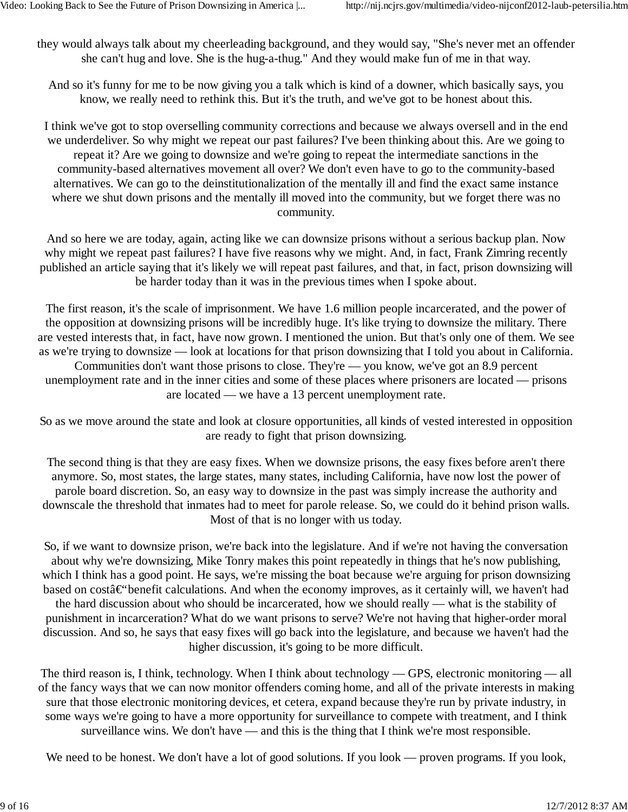they would always talk about my cheerleading background, and they would say, "She's never met an offender she can't hug and love. She is the hug-a-thug." And they would make fun of me in that way.

And so it's funny for me to be now giving you a talk which is kind of a downer, which basically says, you know, we really need to rethink this. But it's the truth, and we've got to be honest about this.

I think we've got to stop overselling community corrections and because we always oversell and in the end we underdeliver. So why might we repeat our past failures? I've been thinking about this. Are we going to repeat it? Are we going to downsize and we're going to repeat the intermediate sanctions in the community-based alternatives movement all over? We don't even have to go to the community-based alternatives. We can go to the deinstitutionalization of the mentally ill and find the exact same instance where we shut down prisons and the mentally ill moved into the community, but we forget there was no community.

And so here we are today, again, acting like we can downsize prisons without a serious backup plan. Now why might we repeat past failures? I have five reasons why we might. And, in fact, Frank Zimring recently published an article saying that it's likely we will repeat past failures, and that, in fact, prison downsizing will be harder today than it was in the previous times when I spoke about.

The first reason, it's the scale of imprisonment. We have 1.6 million people incarcerated, and the power of the opposition at downsizing prisons will be incredibly huge. It's like trying to downsize the military. There are vested interests that, in fact, have now grown. I mentioned the union. But that's only one of them. We see as we're trying to downsize — look at locations for that prison downsizing that I told you about in California. Communities don't want those prisons to close. They're — you know, we've got an 8.9 percent unemployment rate and in the inner cities and some of these places where prisoners are located — prisons

are located — we have a 13 percent unemployment rate.

So as we move around the state and look at closure opportunities, all kinds of vested interested in opposition are ready to fight that prison downsizing.

The second thing is that they are easy fixes. When we downsize prisons, the easy fixes before aren't there anymore. So, most states, the large states, many states, including California, have now lost the power of parole board discretion. So, an easy way to downsize in the past was simply increase the authority and downscale the threshold that inmates had to meet for parole release. So, we could do it behind prison walls. Most of that is no longer with us today.

So, if we want to downsize prison, we're back into the legislature. And if we're not having the conversation about why we're downsizing, Mike Tonry makes this point repeatedly in things that he's now publishing, which I think has a good point. He says, we're missing the boat because we're arguing for prison downsizing based on cost $\hat{a} \in \hat{b}$  benefit calculations. And when the economy improves, as it certainly will, we haven't had the hard discussion about who should be incarcerated, how we should really — what is the stability of punishment in incarceration? What do we want prisons to serve? We're not having that higher-order moral discussion. And so, he says that easy fixes will go back into the legislature, and because we haven't had the higher discussion, it's going to be more difficult.

The third reason is, I think, technology. When I think about technology — GPS, electronic monitoring — all of the fancy ways that we can now monitor offenders coming home, and all of the private interests in making sure that those electronic monitoring devices, et cetera, expand because they're run by private industry, in some ways we're going to have a more opportunity for surveillance to compete with treatment, and I think surveillance wins. We don't have — and this is the thing that I think we're most responsible.

We need to be honest. We don't have a lot of good solutions. If you look — proven programs. If you look,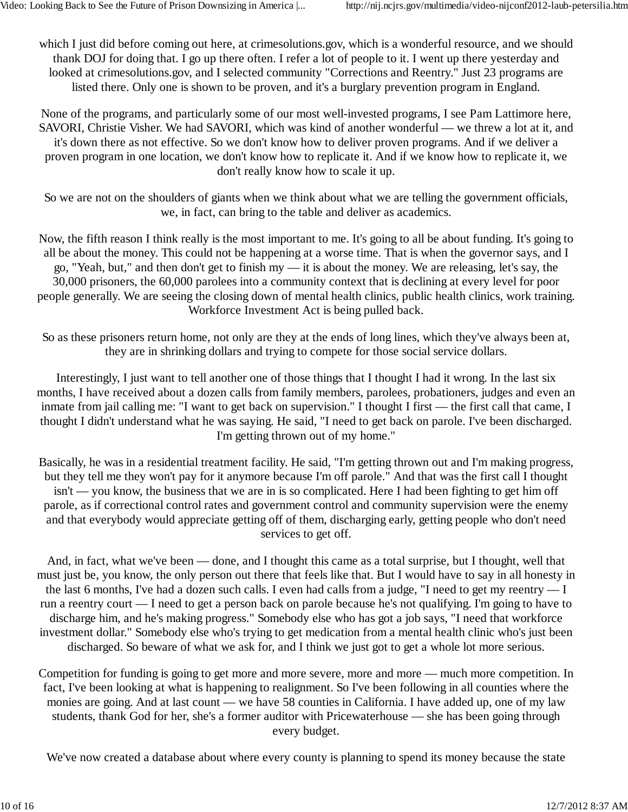which I just did before coming out here, at crimesolutions.gov, which is a wonderful resource, and we should thank DOJ for doing that. I go up there often. I refer a lot of people to it. I went up there yesterday and looked at crimesolutions.gov, and I selected community "Corrections and Reentry." Just 23 programs are listed there. Only one is shown to be proven, and it's a burglary prevention program in England.

None of the programs, and particularly some of our most well-invested programs, I see Pam Lattimore here, SAVORI, Christie Visher. We had SAVORI, which was kind of another wonderful — we threw a lot at it, and it's down there as not effective. So we don't know how to deliver proven programs. And if we deliver a proven program in one location, we don't know how to replicate it. And if we know how to replicate it, we don't really know how to scale it up.

So we are not on the shoulders of giants when we think about what we are telling the government officials, we, in fact, can bring to the table and deliver as academics.

Now, the fifth reason I think really is the most important to me. It's going to all be about funding. It's going to all be about the money. This could not be happening at a worse time. That is when the governor says, and I go, "Yeah, but," and then don't get to finish my — it is about the money. We are releasing, let's say, the 30,000 prisoners, the 60,000 parolees into a community context that is declining at every level for poor people generally. We are seeing the closing down of mental health clinics, public health clinics, work training. Workforce Investment Act is being pulled back.

So as these prisoners return home, not only are they at the ends of long lines, which they've always been at, they are in shrinking dollars and trying to compete for those social service dollars.

Interestingly, I just want to tell another one of those things that I thought I had it wrong. In the last six months, I have received about a dozen calls from family members, parolees, probationers, judges and even an inmate from jail calling me: "I want to get back on supervision." I thought I first — the first call that came, I thought I didn't understand what he was saying. He said, "I need to get back on parole. I've been discharged. I'm getting thrown out of my home."

Basically, he was in a residential treatment facility. He said, "I'm getting thrown out and I'm making progress, but they tell me they won't pay for it anymore because I'm off parole." And that was the first call I thought isn't — you know, the business that we are in is so complicated. Here I had been fighting to get him off parole, as if correctional control rates and government control and community supervision were the enemy and that everybody would appreciate getting off of them, discharging early, getting people who don't need services to get off.

And, in fact, what we've been — done, and I thought this came as a total surprise, but I thought, well that must just be, you know, the only person out there that feels like that. But I would have to say in all honesty in the last 6 months, I've had a dozen such calls. I even had calls from a judge, "I need to get my reentry — I run a reentry court — I need to get a person back on parole because he's not qualifying. I'm going to have to discharge him, and he's making progress." Somebody else who has got a job says, "I need that workforce investment dollar." Somebody else who's trying to get medication from a mental health clinic who's just been discharged. So beware of what we ask for, and I think we just got to get a whole lot more serious.

Competition for funding is going to get more and more severe, more and more — much more competition. In fact, I've been looking at what is happening to realignment. So I've been following in all counties where the monies are going. And at last count — we have 58 counties in California. I have added up, one of my law students, thank God for her, she's a former auditor with Pricewaterhouse — she has been going through every budget.

We've now created a database about where every county is planning to spend its money because the state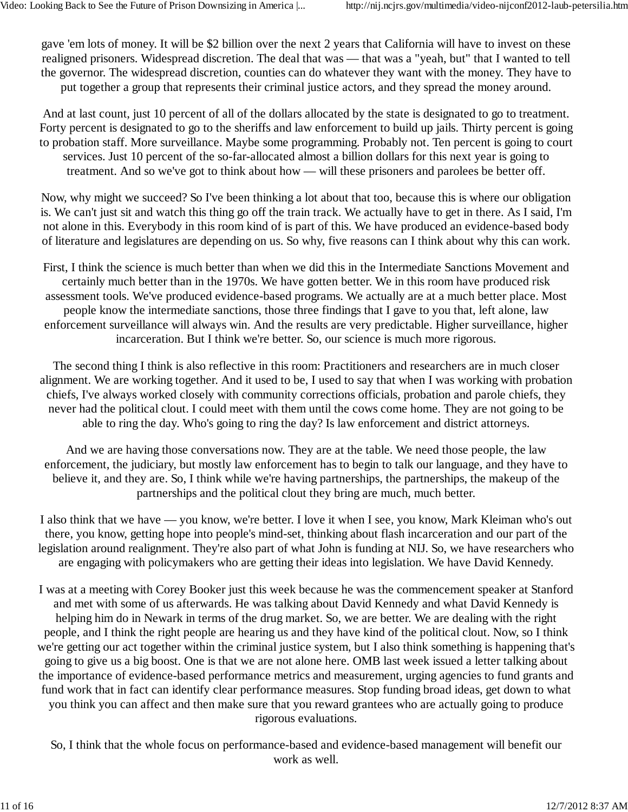gave 'em lots of money. It will be \$2 billion over the next 2 years that California will have to invest on these realigned prisoners. Widespread discretion. The deal that was — that was a "yeah, but" that I wanted to tell the governor. The widespread discretion, counties can do whatever they want with the money. They have to put together a group that represents their criminal justice actors, and they spread the money around.

And at last count, just 10 percent of all of the dollars allocated by the state is designated to go to treatment. Forty percent is designated to go to the sheriffs and law enforcement to build up jails. Thirty percent is going to probation staff. More surveillance. Maybe some programming. Probably not. Ten percent is going to court services. Just 10 percent of the so-far-allocated almost a billion dollars for this next year is going to treatment. And so we've got to think about how — will these prisoners and parolees be better off.

Now, why might we succeed? So I've been thinking a lot about that too, because this is where our obligation is. We can't just sit and watch this thing go off the train track. We actually have to get in there. As I said, I'm not alone in this. Everybody in this room kind of is part of this. We have produced an evidence-based body of literature and legislatures are depending on us. So why, five reasons can I think about why this can work.

First, I think the science is much better than when we did this in the Intermediate Sanctions Movement and certainly much better than in the 1970s. We have gotten better. We in this room have produced risk assessment tools. We've produced evidence-based programs. We actually are at a much better place. Most people know the intermediate sanctions, those three findings that I gave to you that, left alone, law enforcement surveillance will always win. And the results are very predictable. Higher surveillance, higher incarceration. But I think we're better. So, our science is much more rigorous.

The second thing I think is also reflective in this room: Practitioners and researchers are in much closer alignment. We are working together. And it used to be, I used to say that when I was working with probation chiefs, I've always worked closely with community corrections officials, probation and parole chiefs, they never had the political clout. I could meet with them until the cows come home. They are not going to be able to ring the day. Who's going to ring the day? Is law enforcement and district attorneys.

And we are having those conversations now. They are at the table. We need those people, the law enforcement, the judiciary, but mostly law enforcement has to begin to talk our language, and they have to believe it, and they are. So, I think while we're having partnerships, the partnerships, the makeup of the partnerships and the political clout they bring are much, much better.

I also think that we have — you know, we're better. I love it when I see, you know, Mark Kleiman who's out there, you know, getting hope into people's mind-set, thinking about flash incarceration and our part of the legislation around realignment. They're also part of what John is funding at NIJ. So, we have researchers who are engaging with policymakers who are getting their ideas into legislation. We have David Kennedy.

I was at a meeting with Corey Booker just this week because he was the commencement speaker at Stanford and met with some of us afterwards. He was talking about David Kennedy and what David Kennedy is helping him do in Newark in terms of the drug market. So, we are better. We are dealing with the right people, and I think the right people are hearing us and they have kind of the political clout. Now, so I think we're getting our act together within the criminal justice system, but I also think something is happening that's going to give us a big boost. One is that we are not alone here. OMB last week issued a letter talking about the importance of evidence-based performance metrics and measurement, urging agencies to fund grants and fund work that in fact can identify clear performance measures. Stop funding broad ideas, get down to what you think you can affect and then make sure that you reward grantees who are actually going to produce rigorous evaluations.

So, I think that the whole focus on performance-based and evidence-based management will benefit our work as well.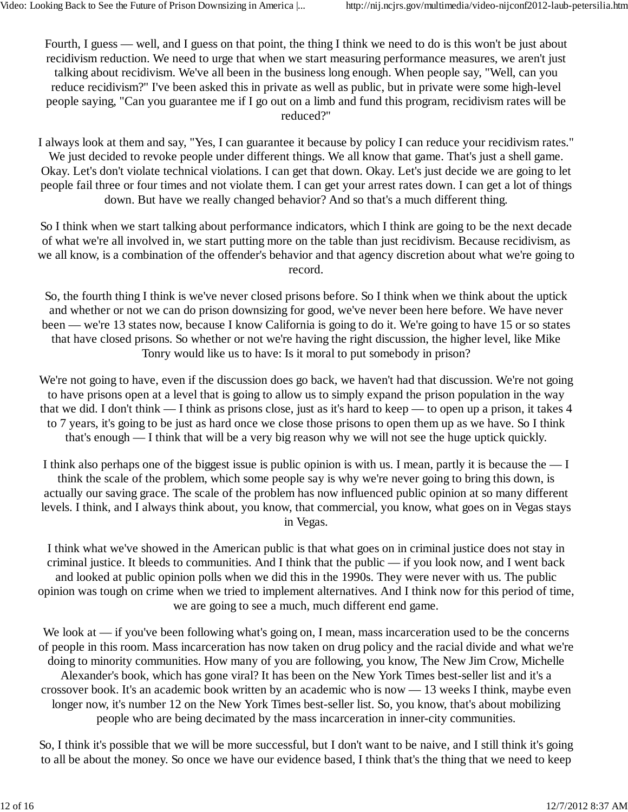Fourth, I guess — well, and I guess on that point, the thing I think we need to do is this won't be just about recidivism reduction. We need to urge that when we start measuring performance measures, we aren't just talking about recidivism. We've all been in the business long enough. When people say, "Well, can you reduce recidivism?" I've been asked this in private as well as public, but in private were some high-level people saying, "Can you guarantee me if I go out on a limb and fund this program, recidivism rates will be reduced?"

I always look at them and say, "Yes, I can guarantee it because by policy I can reduce your recidivism rates." We just decided to revoke people under different things. We all know that game. That's just a shell game. Okay. Let's don't violate technical violations. I can get that down. Okay. Let's just decide we are going to let people fail three or four times and not violate them. I can get your arrest rates down. I can get a lot of things down. But have we really changed behavior? And so that's a much different thing.

So I think when we start talking about performance indicators, which I think are going to be the next decade of what we're all involved in, we start putting more on the table than just recidivism. Because recidivism, as we all know, is a combination of the offender's behavior and that agency discretion about what we're going to record.

So, the fourth thing I think is we've never closed prisons before. So I think when we think about the uptick and whether or not we can do prison downsizing for good, we've never been here before. We have never been — we're 13 states now, because I know California is going to do it. We're going to have 15 or so states that have closed prisons. So whether or not we're having the right discussion, the higher level, like Mike Tonry would like us to have: Is it moral to put somebody in prison?

We're not going to have, even if the discussion does go back, we haven't had that discussion. We're not going to have prisons open at a level that is going to allow us to simply expand the prison population in the way that we did. I don't think — I think as prisons close, just as it's hard to keep — to open up a prison, it takes 4 to 7 years, it's going to be just as hard once we close those prisons to open them up as we have. So I think that's enough — I think that will be a very big reason why we will not see the huge uptick quickly.

I think also perhaps one of the biggest issue is public opinion is with us. I mean, partly it is because the — I think the scale of the problem, which some people say is why we're never going to bring this down, is actually our saving grace. The scale of the problem has now influenced public opinion at so many different levels. I think, and I always think about, you know, that commercial, you know, what goes on in Vegas stays in Vegas.

I think what we've showed in the American public is that what goes on in criminal justice does not stay in criminal justice. It bleeds to communities. And I think that the public — if you look now, and I went back and looked at public opinion polls when we did this in the 1990s. They were never with us. The public opinion was tough on crime when we tried to implement alternatives. And I think now for this period of time, we are going to see a much, much different end game.

We look at — if you've been following what's going on, I mean, mass incarceration used to be the concerns of people in this room. Mass incarceration has now taken on drug policy and the racial divide and what we're doing to minority communities. How many of you are following, you know, The New Jim Crow, Michelle Alexander's book, which has gone viral? It has been on the New York Times best-seller list and it's a crossover book. It's an academic book written by an academic who is now — 13 weeks I think, maybe even longer now, it's number 12 on the New York Times best-seller list. So, you know, that's about mobilizing people who are being decimated by the mass incarceration in inner-city communities.

So, I think it's possible that we will be more successful, but I don't want to be naive, and I still think it's going to all be about the money. So once we have our evidence based, I think that's the thing that we need to keep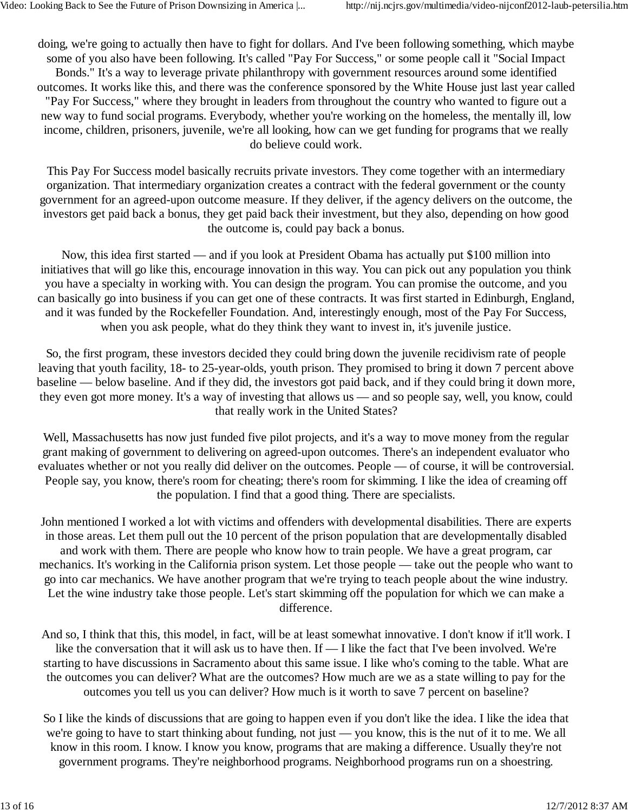doing, we're going to actually then have to fight for dollars. And I've been following something, which maybe some of you also have been following. It's called "Pay For Success," or some people call it "Social Impact Bonds." It's a way to leverage private philanthropy with government resources around some identified outcomes. It works like this, and there was the conference sponsored by the White House just last year called "Pay For Success," where they brought in leaders from throughout the country who wanted to figure out a new way to fund social programs. Everybody, whether you're working on the homeless, the mentally ill, low income, children, prisoners, juvenile, we're all looking, how can we get funding for programs that we really do believe could work.

This Pay For Success model basically recruits private investors. They come together with an intermediary organization. That intermediary organization creates a contract with the federal government or the county government for an agreed-upon outcome measure. If they deliver, if the agency delivers on the outcome, the investors get paid back a bonus, they get paid back their investment, but they also, depending on how good the outcome is, could pay back a bonus.

Now, this idea first started — and if you look at President Obama has actually put \$100 million into initiatives that will go like this, encourage innovation in this way. You can pick out any population you think you have a specialty in working with. You can design the program. You can promise the outcome, and you can basically go into business if you can get one of these contracts. It was first started in Edinburgh, England, and it was funded by the Rockefeller Foundation. And, interestingly enough, most of the Pay For Success, when you ask people, what do they think they want to invest in, it's juvenile justice.

So, the first program, these investors decided they could bring down the juvenile recidivism rate of people leaving that youth facility, 18- to 25-year-olds, youth prison. They promised to bring it down 7 percent above baseline — below baseline. And if they did, the investors got paid back, and if they could bring it down more, they even got more money. It's a way of investing that allows us — and so people say, well, you know, could that really work in the United States?

Well, Massachusetts has now just funded five pilot projects, and it's a way to move money from the regular grant making of government to delivering on agreed-upon outcomes. There's an independent evaluator who evaluates whether or not you really did deliver on the outcomes. People — of course, it will be controversial. People say, you know, there's room for cheating; there's room for skimming. I like the idea of creaming off the population. I find that a good thing. There are specialists.

John mentioned I worked a lot with victims and offenders with developmental disabilities. There are experts in those areas. Let them pull out the 10 percent of the prison population that are developmentally disabled and work with them. There are people who know how to train people. We have a great program, car mechanics. It's working in the California prison system. Let those people — take out the people who want to go into car mechanics. We have another program that we're trying to teach people about the wine industry. Let the wine industry take those people. Let's start skimming off the population for which we can make a difference.

And so, I think that this, this model, in fact, will be at least somewhat innovative. I don't know if it'll work. I like the conversation that it will ask us to have then. If — I like the fact that I've been involved. We're starting to have discussions in Sacramento about this same issue. I like who's coming to the table. What are the outcomes you can deliver? What are the outcomes? How much are we as a state willing to pay for the outcomes you tell us you can deliver? How much is it worth to save 7 percent on baseline?

So I like the kinds of discussions that are going to happen even if you don't like the idea. I like the idea that we're going to have to start thinking about funding, not just — you know, this is the nut of it to me. We all know in this room. I know. I know you know, programs that are making a difference. Usually they're not government programs. They're neighborhood programs. Neighborhood programs run on a shoestring.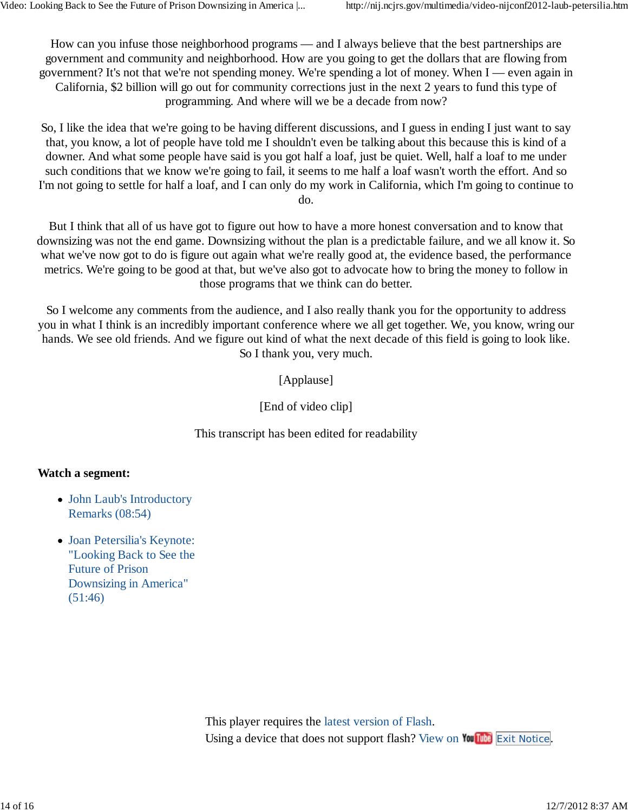How can you infuse those neighborhood programs — and I always believe that the best partnerships are government and community and neighborhood. How are you going to get the dollars that are flowing from government? It's not that we're not spending money. We're spending a lot of money. When I — even again in California, \$2 billion will go out for community corrections just in the next 2 years to fund this type of programming. And where will we be a decade from now?

So, I like the idea that we're going to be having different discussions, and I guess in ending I just want to say that, you know, a lot of people have told me I shouldn't even be talking about this because this is kind of a downer. And what some people have said is you got half a loaf, just be quiet. Well, half a loaf to me under such conditions that we know we're going to fail, it seems to me half a loaf wasn't worth the effort. And so I'm not going to settle for half a loaf, and I can only do my work in California, which I'm going to continue to do.

But I think that all of us have got to figure out how to have a more honest conversation and to know that downsizing was not the end game. Downsizing without the plan is a predictable failure, and we all know it. So what we've now got to do is figure out again what we're really good at, the evidence based, the performance metrics. We're going to be good at that, but we've also got to advocate how to bring the money to follow in those programs that we think can do better.

So I welcome any comments from the audience, and I also really thank you for the opportunity to address you in what I think is an incredibly important conference where we all get together. We, you know, wring our hands. We see old friends. And we figure out kind of what the next decade of this field is going to look like. So I thank you, very much.

[Applause]

[End of video clip]

This transcript has been edited for readability

#### **Watch a segment:**

- John Laub's Introductory Remarks (08:54)
- Joan Petersilia's Keynote: "Looking Back to See the Future of Prison Downsizing in America" (51:46)

This player requires the latest version of Flash. Using a device that does not support flash? View on You when Exit Notice.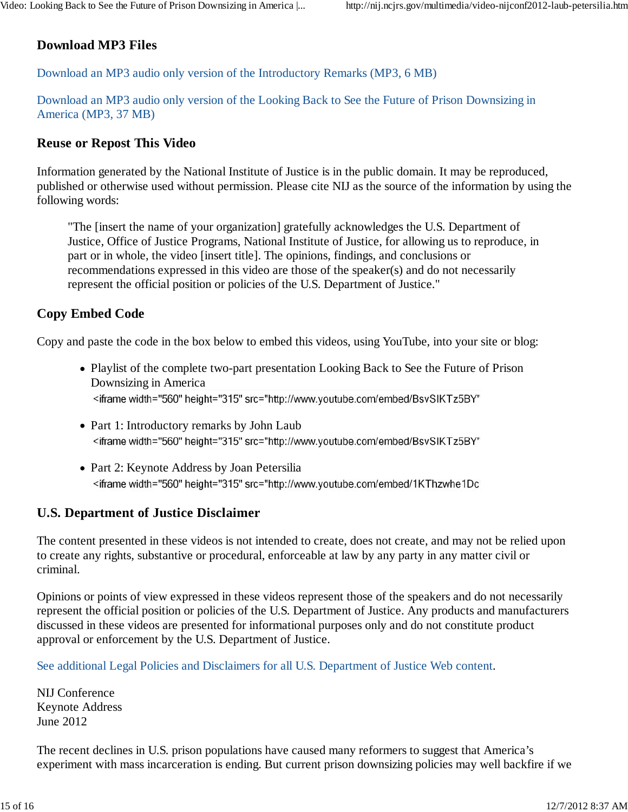## **Download MP3 Files**

Download an MP3 audio only version of the Introductory Remarks (MP3, 6 MB)

Download an MP3 audio only version of the Looking Back to See the Future of Prison Downsizing in America (MP3, 37 MB)

#### **Reuse or Repost This Video**

Information generated by the National Institute of Justice is in the public domain. It may be reproduced, published or otherwise used without permission. Please cite NIJ as the source of the information by using the following words:

"The [insert the name of your organization] gratefully acknowledges the U.S. Department of Justice, Office of Justice Programs, National Institute of Justice, for allowing us to reproduce, in part or in whole, the video [insert title]. The opinions, findings, and conclusions or recommendations expressed in this video are those of the speaker(s) and do not necessarily represent the official position or policies of the U.S. Department of Justice."

#### **Copy Embed Code**

Copy and paste the code in the box below to embed this videos, using YouTube, into your site or blog:

- Playlist of the complete two-part presentation Looking Back to See the Future of Prison Downsizing in America <iframe width="560" height="315" src="http://www.youtube.com/embed/BsvSIKTz5BY"
- Part 1: Introductory remarks by John Laub <iframe width="560" height="315" src="http://www.youtube.com/embed/BsvSIKTz5BY"
- Part 2: Keynote Address by Joan Petersilia <iframe width="560" height="315" src="http://www.youtube.com/embed/1KThzwhe1Dc

### **U.S. Department of Justice Disclaimer**

The content presented in these videos is not intended to create, does not create, and may not be relied upon to create any rights, substantive or procedural, enforceable at law by any party in any matter civil or criminal.

Opinions or points of view expressed in these videos represent those of the speakers and do not necessarily represent the official position or policies of the U.S. Department of Justice. Any products and manufacturers discussed in these videos are presented for informational purposes only and do not constitute product approval or enforcement by the U.S. Department of Justice.

See additional Legal Policies and Disclaimers for all U.S. Department of Justice Web content.

NIJ Conference Keynote Address June 2012

The recent declines in U.S. prison populations have caused many reformers to suggest that America's experiment with mass incarceration is ending. But current prison downsizing policies may well backfire if we